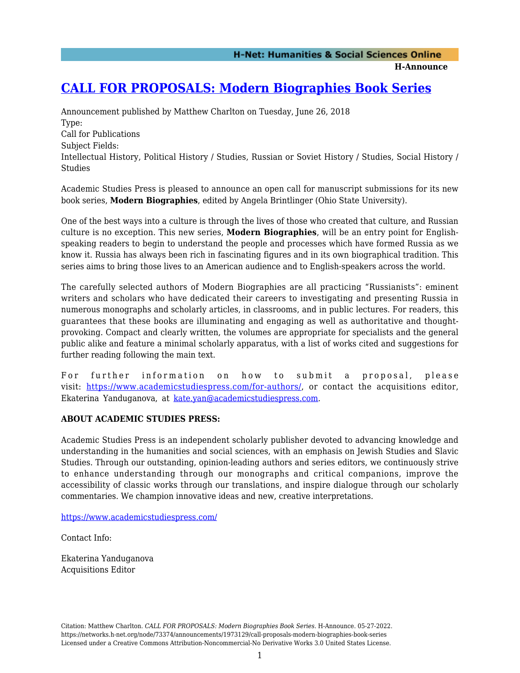**H-Announce** 

## **[CALL FOR PROPOSALS: Modern Biographies Book Series](https://networks.h-net.org/node/73374/announcements/1973129/call-proposals-modern-biographies-book-series)**

Announcement published by Matthew Charlton on Tuesday, June 26, 2018 Type: Call for Publications Subject Fields: Intellectual History, Political History / Studies, Russian or Soviet History / Studies, Social History / Studies

Academic Studies Press is pleased to announce an open call for manuscript submissions for its new book series, **Modern Biographies**, edited by Angela Brintlinger (Ohio State University).

One of the best ways into a culture is through the lives of those who created that culture, and Russian culture is no exception. This new series, **Modern Biographies**, will be an entry point for Englishspeaking readers to begin to understand the people and processes which have formed Russia as we know it. Russia has always been rich in fascinating figures and in its own biographical tradition. This series aims to bring those lives to an American audience and to English-speakers across the world.

The carefully selected authors of Modern Biographies are all practicing "Russianists": eminent writers and scholars who have dedicated their careers to investigating and presenting Russia in numerous monographs and scholarly articles, in classrooms, and in public lectures. For readers, this guarantees that these books are illuminating and engaging as well as authoritative and thoughtprovoking. Compact and clearly written, the volumes are appropriate for specialists and the general public alike and feature a minimal scholarly apparatus, with a list of works cited and suggestions for further reading following the main text.

For further information on how to submit a proposal, please visit:<https://www.academicstudiespress.com/for-authors/>, or contact the acquisitions editor, Ekaterina Yanduganova, at [kate.yan@academicstudiespress.com.](mailto:kate.yan@academicstudiespress.com)

## **ABOUT ACADEMIC STUDIES PRESS:**

Academic Studies Press is an independent scholarly publisher devoted to advancing knowledge and understanding in the humanities and social sciences, with an emphasis on Jewish Studies and Slavic Studies. Through our outstanding, opinion-leading authors and series editors, we continuously strive to enhance understanding through our monographs and critical companions, improve the accessibility of classic works through our translations, and inspire dialogue through our scholarly commentaries. We champion innovative ideas and new, creative interpretations.

<https://www.academicstudiespress.com/>

Contact Info:

Ekaterina Yanduganova Acquisitions Editor

Citation: Matthew Charlton. *CALL FOR PROPOSALS: Modern Biographies Book Series*. H-Announce. 05-27-2022. https://networks.h-net.org/node/73374/announcements/1973129/call-proposals-modern-biographies-book-series Licensed under a Creative Commons Attribution-Noncommercial-No Derivative Works 3.0 United States License.